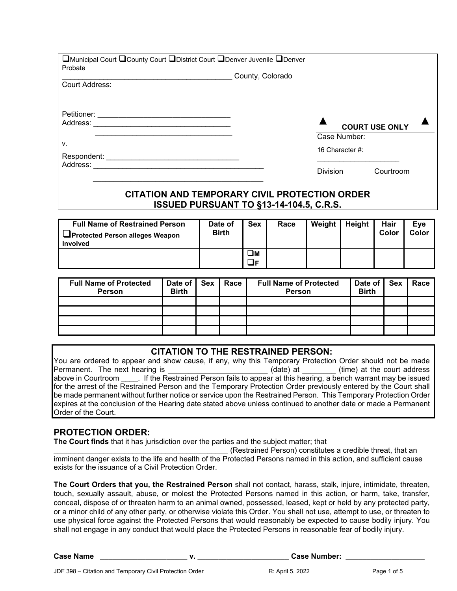| □Municipal Court □ County Court □ District Court □ Denver Juvenile □ Denver<br>Probate<br>Court Address: | County, Colorado |                                    |                       |  |
|----------------------------------------------------------------------------------------------------------|------------------|------------------------------------|-----------------------|--|
| Petitioner:<br>Address:                                                                                  |                  | Case Number:                       | <b>COURT USE ONLY</b> |  |
| ν.<br>Respondent:<br>Address:                                                                            |                  | 16 Character #:<br><b>Division</b> | Courtroom             |  |

## **CITATION AND TEMPORARY CIVIL PROTECTION ORDER ISSUED PURSUANT TO §13-14-104.5, C.R.S.**

| <b>Full Name of Restrained Person</b><br><b>I</b> Protected Person alleges Weapon<br><b>Involved</b> | Date of<br><b>Birth</b> | <b>Sex</b>  | Race | Weight | Height | Hair<br>Color | <b>Eve</b><br>Color |
|------------------------------------------------------------------------------------------------------|-------------------------|-------------|------|--------|--------|---------------|---------------------|
|                                                                                                      |                         | $\square$ M |      |        |        |               |                     |
|                                                                                                      |                         | JF          |      |        |        |               |                     |

| <b>Full Name of Protected</b><br><b>Person</b> | Date of Sex<br><b>Birth</b> | Race | <b>Full Name of Protected</b><br>Person | Date of Sex<br><b>Birth</b> | Race |
|------------------------------------------------|-----------------------------|------|-----------------------------------------|-----------------------------|------|
|                                                |                             |      |                                         |                             |      |
|                                                |                             |      |                                         |                             |      |
|                                                |                             |      |                                         |                             |      |
|                                                |                             |      |                                         |                             |      |

### **CITATION TO THE RESTRAINED PERSON:**

You are ordered to appear and show cause, if any, why this Temporary Protection Order should not be made<br>Permanent. The next hearing is exercies (date) at (date) at the court address  $\rule{1em}{0}$  (date) at  $\rule{1em}{0.15mm}$  (time) at the court address above in Courtroom . If the Restrained Person fails to appear at this hearing, a bench warrant may be issued for the arrest of the Restrained Person and the Temporary Protection Order previously entered by the Court shall be made permanent without further notice or service upon the Restrained Person. This Temporary Protection Order expires at the conclusion of the Hearing date stated above unless continued to another date or made a Permanent Order of the Court.

## **PROTECTION ORDER:**

**The Court finds** that it has jurisdiction over the parties and the subject matter; that

\_\_\_\_\_\_\_\_\_\_\_\_\_\_\_\_\_\_\_\_\_\_\_\_\_\_\_\_\_\_\_\_\_\_\_\_\_\_\_\_\_\_ (Restrained Person) constitutes a credible threat, that an imminent danger exists to the life and health of the Protected Persons named in this action, and sufficient cause exists for the issuance of a Civil Protection Order.

**The Court Orders that you, the Restrained Person** shall not contact, harass, stalk, injure, intimidate, threaten, touch, sexually assault, abuse, or molest the Protected Persons named in this action, or harm, take, transfer, conceal, dispose of or threaten harm to an animal owned, possessed, leased, kept or held by any protected party, or a minor child of any other party, or otherwise violate this Order. You shall not use, attempt to use, or threaten to use physical force against the Protected Persons that would reasonably be expected to cause bodily injury. You shall not engage in any conduct that would place the Protected Persons in reasonable fear of bodily injury.

**Case Name \_\_\_\_\_\_\_\_\_\_\_\_\_\_\_\_\_\_\_\_\_ v. \_\_\_\_\_\_\_\_\_\_\_\_\_\_\_\_\_\_\_\_\_\_ Case Number: \_\_\_\_\_\_\_\_\_\_\_\_\_\_\_\_\_\_\_**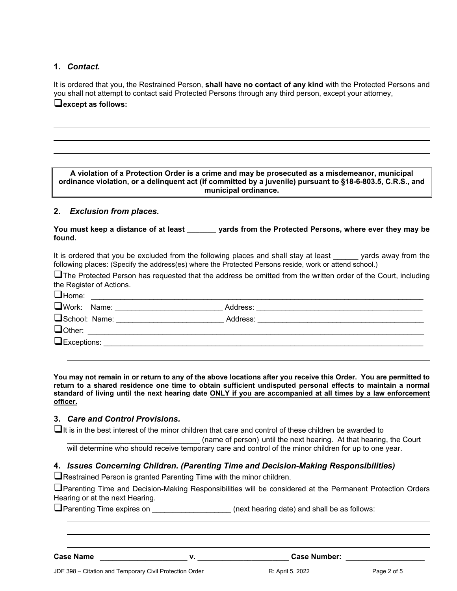### **1.** *Contact.*

 $\overline{a}$ 

 $\overline{a}$ 

It is ordered that you, the Restrained Person, **shall have no contact of any kind** with the Protected Persons and you shall not attempt to contact said Protected Persons through any third person, except your attorney, **except as follows:**

**A violation of a Protection Order is a crime and may be prosecuted as a misdemeanor, municipal ordinance violation, or a delinquent act (if committed by a juvenile) pursuant to §18-6-803.5, C.R.S., and municipal ordinance.**

#### **2.** *Exclusion from places.*

**You must keep a distance of at least \_\_\_\_\_\_\_ yards from the Protected Persons, where ever they may be found.** 

It is ordered that you be excluded from the following places and shall stay at least yards away from the following places: (Specify the address(es) where the Protected Persons reside, work or attend school.)

**The Protected Person has requested that the address be omitted from the written order of the Court, including** the Register of Actions.

| $\Box$ Home:<br><u> 1980 - Jan Berlin, margaret eta biztanleria (h. 1980).</u> |  |
|--------------------------------------------------------------------------------|--|
| School: Name: _______________________                                          |  |
| <b>Ocher:</b> _______________________                                          |  |
|                                                                                |  |

**You may not remain in or return to any of the above locations after you receive this Order. You are permitted to return to a shared residence one time to obtain sufficient undisputed personal effects to maintain a normal standard of living until the next hearing date ONLY if you are accompanied at all times by a law enforcement officer.**

### **3.** *Care and Control Provisions.*

It is in the best interest of the minor children that care and control of these children be awarded to

(name of person) until the next hearing. At that hearing, the Court will determine who should receive temporary care and control of the minor children for up to one year.

#### **4.** *Issues Concerning Children. (Parenting Time and Decision-Making Responsibilities)*

**T**Restrained Person is granted Parenting Time with the minor children.

Parenting Time and Decision-Making Responsibilities will be considered at the Permanent Protection Orders Hearing or at the next Hearing.

**O**Parenting Time expires on **EXECUST 2018** (next hearing date) and shall be as follows:

 $\ddot{\phantom{a}}$ 

 $\ddot{\phantom{a}}$ 

**Case Name \_\_\_\_\_\_\_\_\_\_\_\_\_\_\_\_\_\_\_\_\_ v. \_\_\_\_\_\_\_\_\_\_\_\_\_\_\_\_\_\_\_\_\_\_ Case Number: \_\_\_\_\_\_\_\_\_\_\_\_\_\_\_\_\_\_\_**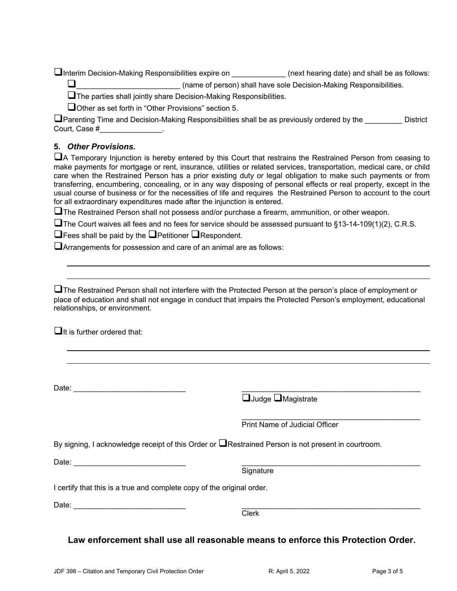Interim Decision-Making Responsibilities expire on **Example 20** (next hearing date) and shall be as follows: \_\_\_\_\_\_\_\_\_\_\_\_\_\_\_\_\_\_\_\_\_\_\_\_\_ (name of person) shall have sole Decision-Making Responsibilities.

The parties shall jointly share Decision-Making Responsibilities.

Other as set forth in "Other Provisions" section 5.

**O**Parenting Time and Decision-Making Responsibilities shall be as previously ordered by the **William Contract Contract** Court, Case #\_\_\_\_\_\_\_\_\_\_\_\_\_\_\_.

## **5.** *Other Provisions.*

A Temporary Injunction is hereby entered by this Court that restrains the Restrained Person from ceasing to make payments for mortgage or rent, insurance, utilities or related services, transportation, medical care, or child care when the Restrained Person has a prior existing duty or legal obligation to make such payments or from transferring, encumbering, concealing, or in any way disposing of personal effects or real property, except in the usual course of business or for the necessities of life and requires the Restrained Person to account to the court for all extraordinary expenditures made after the injunction is entered.

 $\square$  The Restrained Person shall not possess and/or purchase a firearm, ammunition, or other weapon.

 $\Box$  The Court waives all fees and no fees for service should be assessed pursuant to §13-14-109(1)(2), C.R.S.

 $\Box$  Fees shall be paid by the  $\Box$  Petitioner  $\Box$  Respondent.

Arrangements for possession and care of an animal are as follows:

**The Restrained Person shall not interfere with the Protected Person at the person's place of employment or** place of education and shall not engage in conduct that impairs the Protected Person's employment, educational relationships, or environment.

 $\Box$ It is further ordered that:

l  $\ddot{\phantom{a}}$ 

 $\ddot{\phantom{a}}$ l

Date:  $\Box$ 

 $\Box$ Judge  $\Box$ Magistrate

 $\overline{\phantom{a}}$  , which is a set of the set of the set of the set of the set of the set of the set of the set of the set of the set of the set of the set of the set of the set of the set of the set of the set of the set of th Print Name of Judicial Officer

By signing, I acknowledge receipt of this Order or  $\Box$ Restrained Person is not present in courtroom.

Date:  $\Box$ 

Signature

I certify that this is a true and complete copy of the original order.

Date: \_\_\_\_\_\_\_\_\_\_\_\_\_\_\_\_\_\_\_\_\_\_\_\_\_\_\_ \_\_\_\_\_\_\_\_\_\_\_\_\_\_\_\_\_\_\_\_\_\_\_\_\_\_\_\_\_\_\_\_\_\_\_\_\_\_\_\_\_\_\_

e de la contrata de la contrata de la contrata de la contrata de la contrata de la contrata de la contrata de

**Law enforcement shall use all reasonable means to enforce this Protection Order.**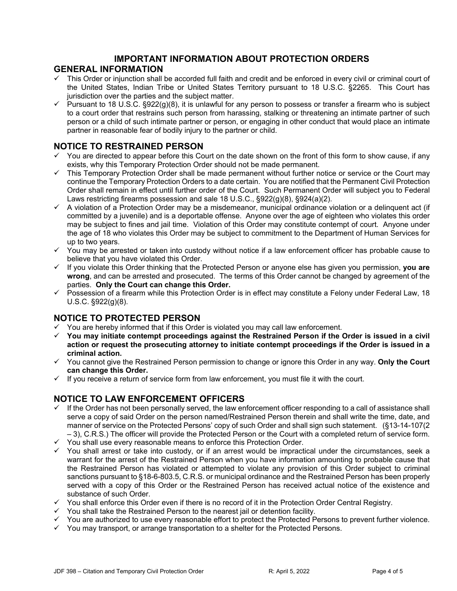# **IMPORTANT INFORMATION ABOUT PROTECTION ORDERS**

#### **GENERAL INFORMATION**

- This Order or injunction shall be accorded full faith and credit and be enforced in every civil or criminal court of the United States, Indian Tribe or United States Territory pursuant to 18 U.S.C. §2265. This Court has jurisdiction over the parties and the subject matter.
- $\checkmark$  Pursuant to 18 U.S.C. §922(g)(8), it is unlawful for any person to possess or transfer a firearm who is subject to a court order that restrains such person from harassing, stalking or threatening an intimate partner of such person or a child of such intimate partner or person, or engaging in other conduct that would place an intimate partner in reasonable fear of bodily injury to the partner or child.

### **NOTICE TO RESTRAINED PERSON**

- You are directed to appear before this Court on the date shown on the front of this form to show cause, if any exists, why this Temporary Protection Order should not be made permanent.
- $\checkmark$  This Temporary Protection Order shall be made permanent without further notice or service or the Court may continue the Temporary Protection Orders to a date certain. You are notified that the Permanent Civil Protection Order shall remain in effect until further order of the Court. Such Permanent Order will subject you to Federal Laws restricting firearms possession and sale 18 U.S.C., §922(g)(8), §924(a)(2).
- $\checkmark$  A violation of a Protection Order may be a misdemeanor, municipal ordinance violation or a delinguent act (if committed by a juvenile) and is a deportable offense. Anyone over the age of eighteen who violates this order may be subject to fines and jail time. Violation of this Order may constitute contempt of court. Anyone under the age of 18 who violates this Order may be subject to commitment to the Department of Human Services for up to two years.
- $\checkmark$  You may be arrested or taken into custody without notice if a law enforcement officer has probable cause to believe that you have violated this Order.
- $\checkmark$  If you violate this Order thinking that the Protected Person or anyone else has given you permission, **you are wrong**, and can be arrested and prosecuted. The terms of this Order cannot be changed by agreement of the parties. **Only the Court can change this Order.**
- $\checkmark$  Possession of a firearm while this Protection Order is in effect may constitute a Felony under Federal Law, 18 U.S.C. §922(g)(8).

## **NOTICE TO PROTECTED PERSON**

- You are hereby informed that if this Order is violated you may call law enforcement.
- **You may initiate contempt proceedings against the Restrained Person if the Order is issued in a civil action or request the prosecuting attorney to initiate contempt proceedings if the Order is issued in a criminal action.**
- You cannot give the Restrained Person permission to change or ignore this Order in any way. **Only the Court can change this Order.**
- $\checkmark$  If you receive a return of service form from law enforcement, you must file it with the court.

## **NOTICE TO LAW ENFORCEMENT OFFICERS**

- If the Order has not been personally served, the law enforcement officer responding to a call of assistance shall serve a copy of said Order on the person named/Restrained Person therein and shall write the time, date, and manner of service on the Protected Persons' copy of such Order and shall sign such statement. (§13-14-107(2 – 3), C.R.S.) The officer will provide the Protected Person or the Court with a completed return of service form.
- $\checkmark$  You shall use every reasonable means to enforce this Protection Order.
- $\checkmark$  You shall arrest or take into custody, or if an arrest would be impractical under the circumstances, seek a warrant for the arrest of the Restrained Person when you have information amounting to probable cause that the Restrained Person has violated or attempted to violate any provision of this Order subject to criminal sanctions pursuant to §18-6-803.5, C.R.S. or municipal ordinance and the Restrained Person has been properly served with a copy of this Order or the Restrained Person has received actual notice of the existence and substance of such Order.
- $\checkmark$  You shall enforce this Order even if there is no record of it in the Protection Order Central Registry.
- $\checkmark$  You shall take the Restrained Person to the nearest jail or detention facility.
- $\checkmark$  You are authorized to use every reasonable effort to protect the Protected Persons to prevent further violence.
- $\checkmark$  You may transport, or arrange transportation to a shelter for the Protected Persons.